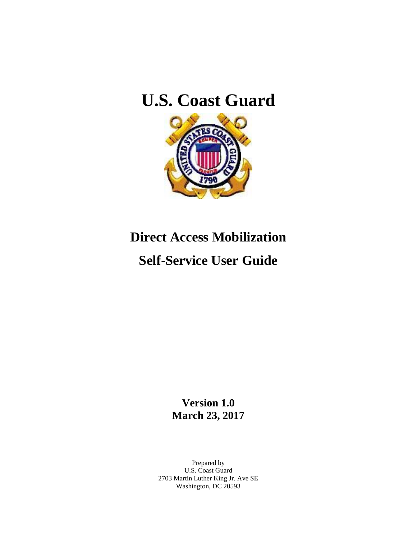## **U.S. Coast Guard**



# **Direct Access Mobilization Self-Service User Guide**

**Version 1.0 March 23, 2017**

Prepared by U.S. Coast Guard 2703 Martin Luther King Jr. Ave SE Washington, DC 20593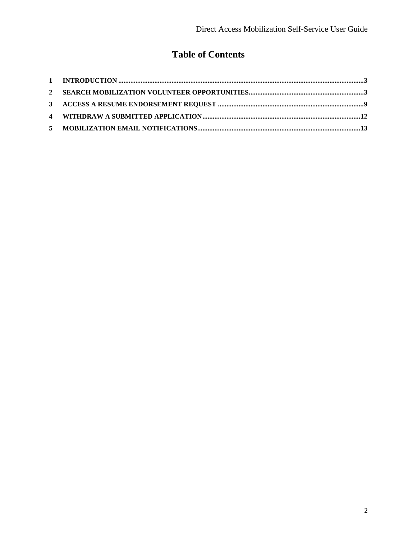## **Table of Contents**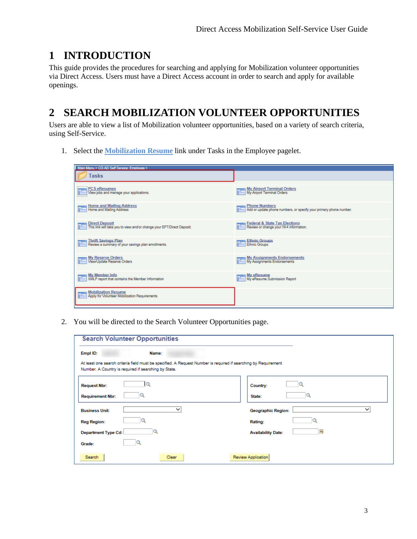## <span id="page-2-0"></span>**1 INTRODUCTION**

This guide provides the procedures for searching and applying for Mobilization volunteer opportunities via Direct Access. Users must have a Direct Access account in order to search and apply for available openings.

## <span id="page-2-1"></span>**2 SEARCH MOBILIZATION VOLUNTEER OPPORTUNITIES**

Users are able to view a list of Mobilization volunteer opportunities, based on a variety of search criteria, using Self-Service.

1. Select the **Mobilization Resume** link under Tasks in the Employee pagelet.

| Main Menu > CG AD Self Service: Employee >                                               |                                                                                            |
|------------------------------------------------------------------------------------------|--------------------------------------------------------------------------------------------|
| Tasks                                                                                    |                                                                                            |
|                                                                                          |                                                                                            |
| <b>PCS eResumes</b><br>View jobs and manage your applications.                           | My Airport Terminal Orders<br>My Airport Terminal Orders                                   |
| Home and Mailing Address<br>Home and Mailing Address                                     | <b>Phone Numbers</b><br>Add or update phone numbers, or specify your primary phone number. |
| Direct Deposit<br>This link will take you to view and/or change your EFT/Direct Deposit. | Federal & State Tax Elections<br>Review or change your W-4 information.                    |
| <b>Thrift Savings Plan</b><br>Review a summary of your savings plan enrollments.         | Ethnic Groups<br>Ethnic Groups                                                             |
| <b>My Reserve Orders</b><br>View/Update Reserve Orders                                   | My Assignments Endorsements<br>My Assignments Endorsements                                 |
| <b>My Member Info</b><br>XMLP report that contains the Member Information                | My eResume<br>My eResume Submission Report                                                 |
| <b>Mobilization Resume</b><br>Apply for Volunteer Mobilization Requirements              |                                                                                            |

2. You will be directed to the Search Volunteer Opportunities page.

| <b>Search Volunteer Opportunities</b>                                                                                                                                  |                                          |
|------------------------------------------------------------------------------------------------------------------------------------------------------------------------|------------------------------------------|
| Empl ID:<br>Name:                                                                                                                                                      |                                          |
| At least one search criteria field must be specified. A Request Number is required if searching by Requirement<br>Number. A Country is required if searching by State. |                                          |
| <b>Request Nbr:</b>                                                                                                                                                    | Country:                                 |
| <b>Requirement Nbr:</b>                                                                                                                                                | State:                                   |
| ◡<br><b>Business Unit:</b>                                                                                                                                             | $\check{ }$<br><b>Geographic Region:</b> |
| <b>Reg Region:</b>                                                                                                                                                     | Rating:                                  |
| <b>Department Type Cd:</b>                                                                                                                                             | 同<br><b>Availability Date:</b>           |
| Grade:                                                                                                                                                                 |                                          |
| Search<br>Clear                                                                                                                                                        | Review Application                       |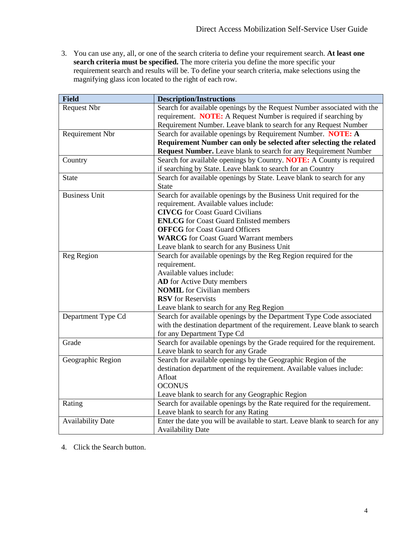3. You can use any, all, or one of the search criteria to define your requirement search. **At least one search criteria must be specified.** The more criteria you define the more specific your requirement search and results will be. To define your search criteria, make selections using the magnifying glass icon located to the right of each row.

| <b>Field</b>             | <b>Description/Instructions</b>                                              |  |  |  |  |  |  |
|--------------------------|------------------------------------------------------------------------------|--|--|--|--|--|--|
| Request Nbr              | Search for available openings by the Request Number associated with the      |  |  |  |  |  |  |
|                          | requirement. <b>NOTE:</b> A Request Number is required if searching by       |  |  |  |  |  |  |
|                          | Requirement Number. Leave blank to search for any Request Number             |  |  |  |  |  |  |
| Requirement Nbr          | Search for available openings by Requirement Number. NOTE: A                 |  |  |  |  |  |  |
|                          | Requirement Number can only be selected after selecting the related          |  |  |  |  |  |  |
|                          | Request Number. Leave blank to search for any Requirement Number             |  |  |  |  |  |  |
| Country                  | Search for available openings by Country. NOTE: A County is required         |  |  |  |  |  |  |
|                          | if searching by State. Leave blank to search for an Country                  |  |  |  |  |  |  |
| <b>State</b>             | Search for available openings by State. Leave blank to search for any        |  |  |  |  |  |  |
|                          | <b>State</b>                                                                 |  |  |  |  |  |  |
| <b>Business Unit</b>     | Search for available openings by the Business Unit required for the          |  |  |  |  |  |  |
|                          | requirement. Available values include:                                       |  |  |  |  |  |  |
|                          | <b>CIVCG</b> for Coast Guard Civilians                                       |  |  |  |  |  |  |
|                          | <b>ENLCG</b> for Coast Guard Enlisted members                                |  |  |  |  |  |  |
|                          | <b>OFFCG</b> for Coast Guard Officers                                        |  |  |  |  |  |  |
|                          | <b>WARCG</b> for Coast Guard Warrant members                                 |  |  |  |  |  |  |
|                          | Leave blank to search for any Business Unit                                  |  |  |  |  |  |  |
| Reg Region               | Search for available openings by the Reg Region required for the             |  |  |  |  |  |  |
|                          | requirement.                                                                 |  |  |  |  |  |  |
|                          | Available values include:                                                    |  |  |  |  |  |  |
|                          | <b>AD</b> for Active Duty members                                            |  |  |  |  |  |  |
|                          | <b>NOMIL</b> for Civilian members                                            |  |  |  |  |  |  |
|                          | <b>RSV</b> for Reservists                                                    |  |  |  |  |  |  |
|                          | Leave blank to search for any Reg Region                                     |  |  |  |  |  |  |
| Department Type Cd       | Search for available openings by the Department Type Code associated         |  |  |  |  |  |  |
|                          | with the destination department of the requirement. Leave blank to search    |  |  |  |  |  |  |
|                          | for any Department Type Cd                                                   |  |  |  |  |  |  |
| Grade                    | Search for available openings by the Grade required for the requirement.     |  |  |  |  |  |  |
|                          | Leave blank to search for any Grade                                          |  |  |  |  |  |  |
| Geographic Region        | Search for available openings by the Geographic Region of the                |  |  |  |  |  |  |
|                          | destination department of the requirement. Available values include:         |  |  |  |  |  |  |
|                          | Afloat                                                                       |  |  |  |  |  |  |
|                          | <b>OCONUS</b>                                                                |  |  |  |  |  |  |
|                          | Leave blank to search for any Geographic Region                              |  |  |  |  |  |  |
| Rating                   | Search for available openings by the Rate required for the requirement.      |  |  |  |  |  |  |
|                          | Leave blank to search for any Rating                                         |  |  |  |  |  |  |
| <b>Availability Date</b> | Enter the date you will be available to start. Leave blank to search for any |  |  |  |  |  |  |
|                          | <b>Availability Date</b>                                                     |  |  |  |  |  |  |

4. Click the Search button.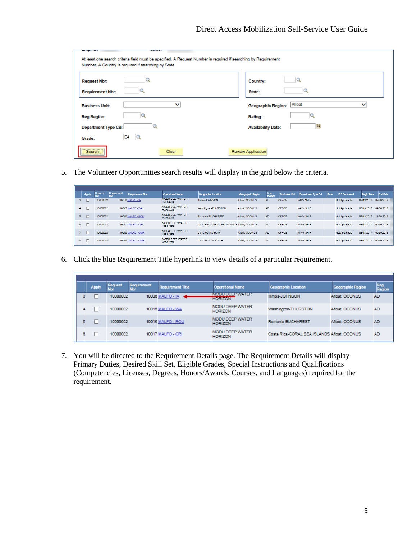| <b>NAME OF GROOM</b><br>-------<br>At least one search criteria field must be specified. A Request Number is required if searching by Requirement<br>Number. A Country is required if searching by State. |                                          |
|-----------------------------------------------------------------------------------------------------------------------------------------------------------------------------------------------------------|------------------------------------------|
| <b>Request Nbr:</b>                                                                                                                                                                                       | Country:                                 |
| <b>Requirement Nbr:</b>                                                                                                                                                                                   | State:                                   |
| $\checkmark$<br><b>Business Unit:</b>                                                                                                                                                                     | Afloat<br>◡<br><b>Geographic Region:</b> |
| <b>Reg Region:</b>                                                                                                                                                                                        | Rating:                                  |
| <b>Department Type Cd:</b>                                                                                                                                                                                | Ħ<br><b>Availability Date:</b>           |
| E4<br>Grade:                                                                                                                                                                                              |                                          |
| Search <sup>11</sup><br>Clear<br>--------------                                                                                                                                                           | Review Application                       |

5. The Volunteer Opportunities search results will display in the grid below the criteria.

|   | <b>Apply</b> | <b>Request</b> | Requirement | <b>Requirement Title</b> | <b>Operational Name</b>                  | <b>Geographic Location</b>                  | <b>Geographic Region</b> | <b>Reg</b><br><b>Region</b> | <b>Business Unit</b> | Department Type Cd | Rate <sup>®</sup> | <b>ICS Command</b> | <b>Begin Date</b> | <b>End Date</b> |
|---|--------------|----------------|-------------|--------------------------|------------------------------------------|---------------------------------------------|--------------------------|-----------------------------|----------------------|--------------------|-------------------|--------------------|-------------------|-----------------|
|   |              | 10000002       |             | 10006 MALFO - IA         | MODULE H WATER<br><b>HORIZON</b>         | Illinois-JOHNSON                            | Afloat, OCONUS           | AD.                         | OFFCG                | <b>NAVY SHIP</b>   |                   | Not Applicable     | 03/13/2017        | 09/30/2018      |
|   |              | 0000002        |             | 10015 MALFO - WA         | <b>MODU DEEP WATER</b><br><b>HORIZON</b> | Washington-THURSTON                         | Afloat, OCONUS           | AD.                         | OFFCG                | NAVY SHIP          |                   | Not Applicable     | 03/13/2017        | 09/30/2018      |
|   |              | 10000002       |             | <b>10016 MALFO - ROU</b> | <b>MODU DEEP WATER</b><br><b>HORIZON</b> | Romania-BUCHAREST                           | Afloat, OCONUS           | AD.                         | OFFCG                | NAVY SHIP          |                   | Not Applicable     | 03/13/2017        | 11/30/2018      |
| 6 |              | 10000002       |             | 10017 MALFO - CRI        | <b>MODU DEEP WATER</b><br><b>HORIZON</b> | Costa Rica-CORAL SEA ISLANDS Afloat, OCONUS |                          | AD.                         | OFFCG                | NAVY SHIP          |                   | Not Applicable     | 03/13/2017        | 09/30/2018      |
|   |              | 10000002       |             | 10018 MALFO - CMR        | MODU DEEP WATER<br><b>HORIZON</b>        | Cameroon-MAROUA                             | Afloat, OCONUS           | AD.                         | <b>OFFCG</b>         | NAVY SHIP          |                   | Not Applicable     | 03/13/2017        | 09/30/2018      |
| 8 |              | 10000002       |             | 10019 MALFO - CMR        | <b>MODU DEEP WATER</b><br><b>HORIZON</b> | Cameroon-YAOUNDE                            | Afloat, OCONUS           | <b>AD</b>                   | OFFCG                | NAVY SHIP          |                   | Not Applicable     | 03/13/2017        | 09/30/2018      |

6. Click the blue Requirement Title hyperlink to view details of a particular requirement.

|   | <b>Apply</b> | <b>Request</b> | <b>Requirement</b> | <b>Requirement Title</b> | <b>Operational Name</b>                  | Geographic Location                         | Geographic Region | Reg<br>Region |
|---|--------------|----------------|--------------------|--------------------------|------------------------------------------|---------------------------------------------|-------------------|---------------|
| з |              | 10000002       |                    | 10006 MALFO - IA         | MODU DEEP WATER<br><b>HORIZON</b>        | Illinois-JOHNSON                            | Afloat, OCONUS    | <b>AD</b>     |
| 4 |              | 10000002       |                    | 10015 MALFO - WA         | <b>MODU DEEP WATER</b><br><b>HORIZON</b> | Washington-THURSTON                         | Afloat, OCONUS    | <b>AD</b>     |
| 5 |              | 10000002       |                    | 10016 MALFO - ROU        | <b>MODU DEEP WATER</b><br><b>HORIZON</b> | Romania-BUCHAREST                           | Afloat, OCONUS    | <b>AD</b>     |
| 6 |              | 10000002       |                    | 10017 MALFO - CRI        | <b>MODU DEEP WATER</b><br><b>HORIZON</b> | Costa Rica-CORAL SEA ISLANDS Afloat, OCONUS |                   | <b>AD</b>     |

7. You will be directed to the Requirement Details page. The Requirement Details will display Primary Duties, Desired Skill Set, Eligible Grades, Special Instructions and Qualifications (Competencies, Licenses, Degrees, Honors/Awards, Courses, and Languages) required for the requirement.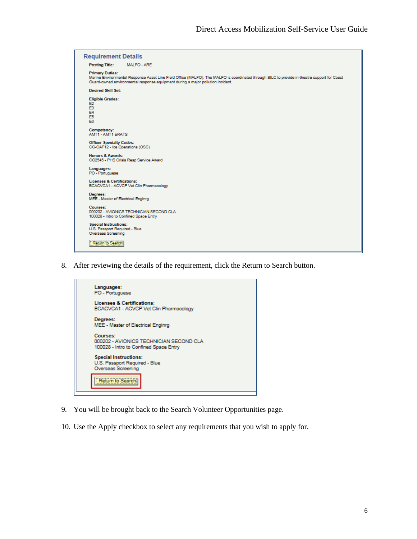| <b>Requirement Details</b>                                                                 |                                                                                                                                                                                                                                 |  |  |  |  |  |  |  |  |
|--------------------------------------------------------------------------------------------|---------------------------------------------------------------------------------------------------------------------------------------------------------------------------------------------------------------------------------|--|--|--|--|--|--|--|--|
| <b>Posting Title:</b>                                                                      | MALFO - ARE                                                                                                                                                                                                                     |  |  |  |  |  |  |  |  |
| <b>Primary Duties:</b>                                                                     | Marine Environmental Response Asset Line Field Office (MALFO). The MALFO is coordinated through SILC to provide in-theatre support for Coast<br>Guard-owned environmental response equipment during a major pollution incident. |  |  |  |  |  |  |  |  |
| <b>Desired Skill Set:</b>                                                                  |                                                                                                                                                                                                                                 |  |  |  |  |  |  |  |  |
| <b>Eligible Grades:</b><br>E2<br>E <sub>3</sub><br><b>E4</b><br>E <sub>5</sub><br>E6       |                                                                                                                                                                                                                                 |  |  |  |  |  |  |  |  |
| Competency:<br><b>AMT1 - AMT1 ERATS</b>                                                    |                                                                                                                                                                                                                                 |  |  |  |  |  |  |  |  |
| <b>Officer Specialty Codes:</b><br>CG-OAF12 - Ice Operations (OSC)                         |                                                                                                                                                                                                                                 |  |  |  |  |  |  |  |  |
| <b>Honors &amp; Awards:</b>                                                                | CG2545 - PHS Crisis Resp Service Award                                                                                                                                                                                          |  |  |  |  |  |  |  |  |
| Languages:<br>PO - Portuguese                                                              |                                                                                                                                                                                                                                 |  |  |  |  |  |  |  |  |
| <b>Licenses &amp; Certifications:</b>                                                      | BCACVCA1 - ACVCP Vet Clin Pharmacology                                                                                                                                                                                          |  |  |  |  |  |  |  |  |
| Degrees:<br>MEE - Master of Electrical Enginrg                                             |                                                                                                                                                                                                                                 |  |  |  |  |  |  |  |  |
| Courses:                                                                                   | 000202 - AVIONICS TECHNICIAN SECOND CLA<br>100028 - Intro to Confined Space Entry                                                                                                                                               |  |  |  |  |  |  |  |  |
| <b>Special Instructions:</b><br>U.S. Passport Required - Blue<br><b>Overseas Screening</b> |                                                                                                                                                                                                                                 |  |  |  |  |  |  |  |  |
| Return to Search                                                                           |                                                                                                                                                                                                                                 |  |  |  |  |  |  |  |  |

8. After reviewing the details of the requirement, click the Return to Search button.



- 9. You will be brought back to the Search Volunteer Opportunities page.
- 10. Use the Apply checkbox to select any requirements that you wish to apply for.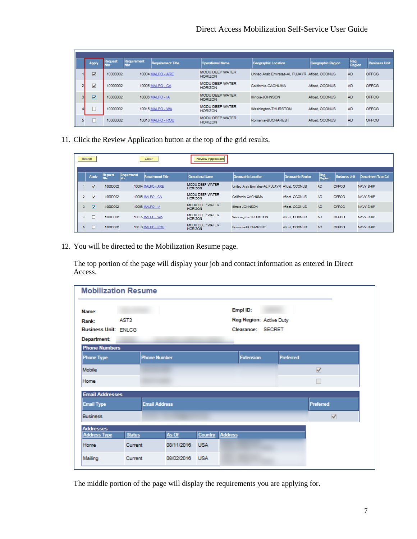#### Direct Access Mobilization Self-Service User Guide

|   | <b>Apply</b> | <b>Request</b> | Requirement | <b>Requirement Title</b> | <b>Operational Name</b>                  | <b>Geographic Location</b>                    | <b>Geographic Region</b> | Region    | <b>Business Unit</b> |
|---|--------------|----------------|-------------|--------------------------|------------------------------------------|-----------------------------------------------|--------------------------|-----------|----------------------|
|   | V            | 10000002       |             | 10004 MALFO - ARE        | <b>MODU DEEP WATER</b><br><b>HORIZON</b> | United Arab Emirates-AL FUJAYR Afloat, OCONUS |                          | <b>AD</b> | OFFCG                |
|   | ⊽            | 10000002       |             | 10005 MALFO - CA         | <b>MODU DEEP WATER</b><br><b>HORIZON</b> | California-CACHUMA                            | Afloat, OCONUS           | <b>AD</b> | OFFCG                |
|   | M            | 10000002       |             | 10006 MALFO - IA         | <b>MODU DEEP WATER</b><br><b>HORIZON</b> | Illinois-JOHNSON                              | Aflost, OCONUS           | <b>AD</b> | <b>OFFCG</b>         |
|   |              | 10000002       |             | 10015 MALFO - WA         | <b>MODU DEEP WATER</b><br><b>HORIZON</b> | Washington-THURSTON                           | Aflost, OCONUS           | <b>AD</b> | OFFCG                |
| 5 |              | 10000002       |             | 10016 MALFO - ROU        | <b>MODU DEEP WATER</b><br><b>HORIZON</b> | Romania-BUCHAREST                             | Afloat, OCONUS           | <b>AD</b> | OFFCG                |

11. Click the Review Application button at the top of the grid results.

|                | Search                  |                |                    | Clear                    | <b>Review Application</b>                |                                               |                          |                             |                      |                    |  |  |
|----------------|-------------------------|----------------|--------------------|--------------------------|------------------------------------------|-----------------------------------------------|--------------------------|-----------------------------|----------------------|--------------------|--|--|
|                | <b>Apply</b>            | Request<br>Nbr | <b>Requirement</b> | <b>Requirement Title</b> | <b>Operational Name</b>                  | Geographic Location                           | <b>Geographic Region</b> | <b>Reg</b><br><b>Region</b> | <b>Business Unit</b> | Department Type Cd |  |  |
|                | $\overline{\mathbf{v}}$ | 10000002       |                    | <b>10004 MALFO - ARE</b> | <b>MODU DEEP WATER</b><br><b>HORIZON</b> | United Arab Emirates-AL FUJAYR Afloat, OCONUS |                          | <b>AD</b>                   | <b>OFFCG</b>         | NAVY SHIP          |  |  |
| $\overline{2}$ | $\blacktriangledown$    | 10000002       |                    | 10005 MALFO - CA         | <b>MODU DEEP WATER</b><br><b>HORIZON</b> | California-CACHUMA                            | Aflost, OCONUS           | <b>AD</b>                   | <b>OFFCG</b>         | <b>NAVY SHIP</b>   |  |  |
| 3              | $\overline{\mathbf{v}}$ | 10000002       |                    | 10006 MALFO - IA         | <b>MODU DEEP WATER</b><br><b>HORIZON</b> | Illinois-JOHNSON                              | Afloat, OCONUS           | <b>AD</b>                   | <b>OFFCG</b>         | NAVY SHIP          |  |  |
|                |                         | 10000002       |                    | 10015 MALFO - WA         | <b>MODU DEEP WATER</b><br><b>HORIZON</b> | Washington-THURSTON                           | Aflost, OCONUS           | <b>AD</b>                   | OFFCG                | <b>NAVY SHIP</b>   |  |  |
| 5              |                         | 10000002       |                    | 10016 MALFO - ROU        | <b>MODU DEEP WATER</b><br><b>HORIZON</b> | Romania-BUCHAREST                             | Afloat, OCONUS           | <b>AD</b>                   | <b>OFFCG</b>         | <b>NAVY SHIP</b>   |  |  |

12. You will be directed to the Mobilization Resume page.

The top portion of the page will display your job and contact information as entered in Direct Access.

| <b>Mobilization Resume</b>                       |               |                      |                |            |         |                         |                  |                      |
|--------------------------------------------------|---------------|----------------------|----------------|------------|---------|-------------------------|------------------|----------------------|
| Name:                                            |               |                      |                |            |         | Empl ID:                |                  |                      |
| Rank:                                            | AST3          |                      |                |            |         | Reg Region: Active Duty |                  |                      |
| <b>Business Unit: ENLCG</b><br>Clearance: SECRET |               |                      |                |            |         |                         |                  |                      |
| Department:                                      |               |                      |                |            |         |                         |                  |                      |
| <b>Phone Numbers</b>                             |               |                      |                |            |         |                         |                  |                      |
| <b>Phone Type</b>                                |               | <b>Phone Number</b>  |                |            |         | <b>Extension</b>        | <b>Preferred</b> |                      |
| Mobile                                           |               |                      |                |            |         |                         |                  | $\blacktriangledown$ |
| Home                                             |               |                      |                |            |         |                         |                  |                      |
| <b>Email Addresses</b>                           |               |                      |                |            |         |                         |                  |                      |
| <b>Email Type</b>                                |               | <b>Email Address</b> |                |            |         |                         |                  | Preferred            |
| <b>Business</b>                                  |               |                      |                |            |         |                         |                  | √                    |
| <b>Addresses</b>                                 |               |                      |                |            |         |                         |                  |                      |
| <b>Address Type</b>                              | <b>Status</b> |                      | As Of          | Country    | Address |                         |                  |                      |
| Home                                             | Current       |                      | 08/11/2016     | <b>USA</b> |         |                         |                  |                      |
| Mailing                                          | Current       |                      | 08/02/2016 USA |            |         |                         |                  |                      |

The middle portion of the page will display the requirements you are applying for.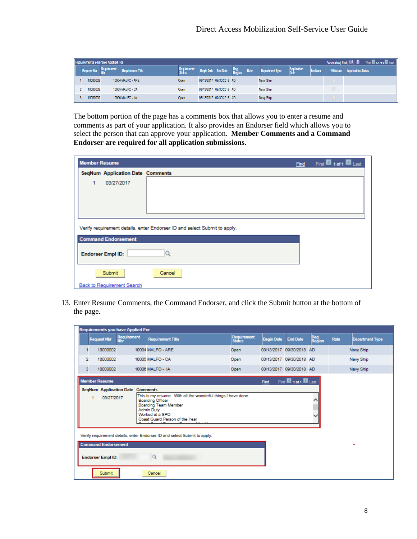| Personalize   Find   20   Till<br><b>Requirements you have Applied For</b><br>First <b>M</b> 1-3 of 3 |          |             |                          |             |                   |                          |               |      |                 |             |               |          |                           |
|-------------------------------------------------------------------------------------------------------|----------|-------------|--------------------------|-------------|-------------------|--------------------------|---------------|------|-----------------|-------------|---------------|----------|---------------------------|
|                                                                                                       |          | Requirement | <b>Requirement Title</b> | Requirement | <b>Begin Date</b> | <b>End Date</b>          | Reg<br>Region | Rate | Department Type | Application | <b>SegNum</b> | Withdraw | <b>Application Status</b> |
|                                                                                                       | 10000002 |             | 10004 MALFO - ARE        | Open        |                   | 03/13/2017 09/30/2018 AD |               |      | Navy Ship       |             |               |          |                           |
|                                                                                                       | 10000002 |             | 10005 MALFO - CA         | Open        |                   | 03/13/2017 09/30/2018 AD |               |      | Navy Ship       |             |               |          |                           |
|                                                                                                       | 10000002 |             | 10006 MALFO - IA         | Open        |                   | 03/13/2017 09/30/2018 AD |               |      | Navy Ship       |             |               |          |                           |

The bottom portion of the page has a comments box that allows you to enter a resume and comments as part of your application. It also provides an Endorser field which allows you to select the person that can approve your application. **Member Comments and a Command Endorser are required for all application submissions.**

| <b>Member Resume</b> |                                         |                                                                           | <b>Find</b> | First 1 1 of 1 2 Last |
|----------------------|-----------------------------------------|---------------------------------------------------------------------------|-------------|-----------------------|
|                      | <b>SegNum Application Date Comments</b> |                                                                           |             |                       |
| 1                    | 03/27/2017                              |                                                                           |             |                       |
|                      |                                         |                                                                           |             |                       |
|                      |                                         |                                                                           |             |                       |
|                      |                                         |                                                                           |             |                       |
|                      |                                         | Verify requirement details, enter Endorser ID and select Submit to apply. |             |                       |
|                      | <b>Command Endorsement</b>              |                                                                           |             |                       |
|                      | <b>Endorser Empl ID:</b>                |                                                                           |             |                       |
|                      | Submit                                  | Cancel                                                                    |             |                       |
|                      | <b>Back to Requirement Search</b>       |                                                                           |             |                       |

13. Enter Resume Comments, the Command Endorser, and click the Submit button at the bottom of the page.

| <b>Requirements you have Applied For</b> |                                                                                                                                                                                                                                                                                                                                                                                                                                 |                                                                      |  |                       |                   |                          |               |      |                        |           |  |
|------------------------------------------|---------------------------------------------------------------------------------------------------------------------------------------------------------------------------------------------------------------------------------------------------------------------------------------------------------------------------------------------------------------------------------------------------------------------------------|----------------------------------------------------------------------|--|-----------------------|-------------------|--------------------------|---------------|------|------------------------|-----------|--|
|                                          |                                                                                                                                                                                                                                                                                                                                                                                                                                 | Requirement<br>Nbr<br><b>Requirement Title</b><br><b>Request Nbr</b> |  | Requirement<br>Status | <b>Begin Date</b> | <b>End Date</b>          | Reg<br>Region | Rate | <b>Department Type</b> |           |  |
|                                          |                                                                                                                                                                                                                                                                                                                                                                                                                                 | 10000002                                                             |  | 10004 MALFO - ARE     | Open              | 03/13/2017 09/30/2018 AD |               |      |                        | Navy Ship |  |
|                                          | $\overline{2}$                                                                                                                                                                                                                                                                                                                                                                                                                  | 10000002                                                             |  | 10005 MALFO - CA      | Open              | 03/13/2017 09/30/2018 AD |               |      |                        | Navy Ship |  |
|                                          | 3                                                                                                                                                                                                                                                                                                                                                                                                                               | 10000002                                                             |  | 10006 MALFO - IA      | Open              | 03/13/2017 09/30/2018 AD |               |      |                        | Navy Ship |  |
|                                          | First 1011 D Last<br><b>Member Resume</b><br><b>Find</b><br><b>SegNum Application Date Comments</b><br>This is my resume. With all the wonderful things I have done.<br>03/27/2017<br>1<br><b>Boarding Officer</b><br>Boarding Team Member<br><b>Admin Duty</b><br>Worked at a SPO<br>Coast Guard Person of the Year<br>Verify requirement details, enter Endorser ID and select Submit to apply.<br><b>Command Endorsement</b> |                                                                      |  |                       |                   |                          |               |      |                        |           |  |
|                                          | Q<br><b>Endorser Empl ID:</b><br>Submit<br>Cancel                                                                                                                                                                                                                                                                                                                                                                               |                                                                      |  |                       |                   |                          |               |      |                        |           |  |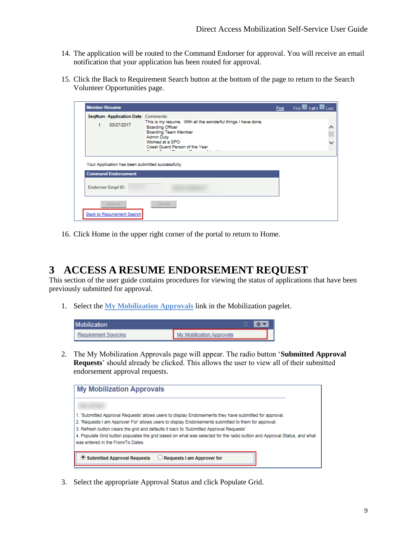- 14. The application will be routed to the Command Endorser for approval. You will receive an email notification that your application has been routed for approval.
- 15. Click the Back to Requirement Search button at the bottom of the page to return to the Search Volunteer Opportunities page.

| <b>Member Resume</b>                                  |                                                                                                                                                                                            | <b>Find</b> | First 1 1 of 1 2 Last |
|-------------------------------------------------------|--------------------------------------------------------------------------------------------------------------------------------------------------------------------------------------------|-------------|-----------------------|
| <b>SeqNum Application Date Comments</b><br>03/27/2017 | This is my resume. With all the wonderful things I have done.<br><b>Boarding Officer</b><br>Boarding Team Member<br><b>Admin Duty</b><br>Worked at a SPO<br>Coast Guard Person of the Year |             |                       |
| <b>Command Endorsement</b>                            | Your Application has been submitted successfully.                                                                                                                                          |             |                       |
| <b>Endorser Empl ID:</b>                              |                                                                                                                                                                                            |             |                       |
| Submit<br><b>Back to Requirement Search</b>           | Cancel                                                                                                                                                                                     |             |                       |

16. Click Home in the upper right corner of the portal to return to Home.

#### <span id="page-8-0"></span>**3 ACCESS A RESUME ENDORSEMENT REQUEST**

This section of the user guide contains procedures for viewing the status of applications that have been previously submitted for approval.

1. Select the **My Mobilization Approvals** link in the Mobilization pagelet.

| <b>Mobilization</b>  |                           |
|----------------------|---------------------------|
| Requirement Sourcing | My Mobilization Approvals |

2. The My Mobilization Approvals page will appear. The radio button '**Submitted Approval Requests**' should already be clicked. This allows the user to view all of their submitted endorsement approval requests.

| <b>My Mobilization Approvals</b>                                                                                                                                                                                                                                                                                                                                                                                                                                            |  |
|-----------------------------------------------------------------------------------------------------------------------------------------------------------------------------------------------------------------------------------------------------------------------------------------------------------------------------------------------------------------------------------------------------------------------------------------------------------------------------|--|
| 1. 'Submitted Approval Requests' allows users to display Endorsements they have submitted for approval.<br>2. 'Requests I am Approver For' allows users to display Endorsements submitted to them for approval.<br>3. Refresh button clears the grid and defaults it back to 'Submitted Approval Reguests'.<br>4. Populate Grid button populates the grid based on what was selected for the radio button and Approval Status, and what<br>was entered in the From/To Dates |  |
| Submitted Approval Requests<br><b>Requests I am Approver for</b>                                                                                                                                                                                                                                                                                                                                                                                                            |  |

3. Select the appropriate Approval Status and click Populate Grid.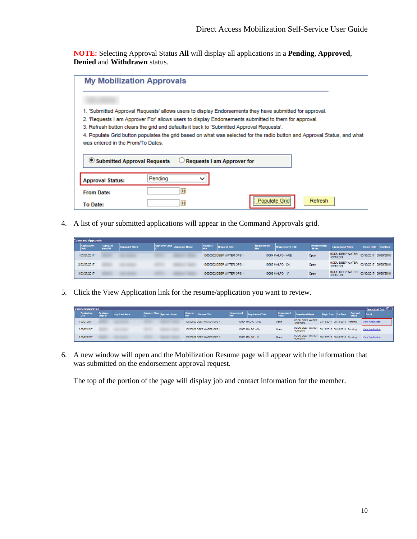**NOTE:** Selecting Approval Status **All** will display all applications in a **Pending**, **Approved**, **Denied** and **Withdrawn** status.

| <b>My Mobilization Approvals</b>                                                                                                                              |                                                                                          |                                                                                                         |         |  |  |  |  |  |  |
|---------------------------------------------------------------------------------------------------------------------------------------------------------------|------------------------------------------------------------------------------------------|---------------------------------------------------------------------------------------------------------|---------|--|--|--|--|--|--|
|                                                                                                                                                               |                                                                                          |                                                                                                         |         |  |  |  |  |  |  |
|                                                                                                                                                               |                                                                                          | 1. 'Submitted Approval Requests' allows users to display Endorsements they have submitted for approval. |         |  |  |  |  |  |  |
|                                                                                                                                                               |                                                                                          | 2. 'Requests I am Approver For' allows users to display Endorsements submitted to them for approval.    |         |  |  |  |  |  |  |
|                                                                                                                                                               | 3. Refresh button clears the grid and defaults it back to 'Submitted Approval Requests'. |                                                                                                         |         |  |  |  |  |  |  |
| 4. Populate Grid button populates the grid based on what was selected for the radio button and Approval Status, and what<br>was entered in the From/To Dates. |                                                                                          |                                                                                                         |         |  |  |  |  |  |  |
| Submitted Approval Requests                                                                                                                                   |                                                                                          | Requests I am Approver for                                                                              |         |  |  |  |  |  |  |
| <b>Approval Status:</b>                                                                                                                                       | Pendina                                                                                  |                                                                                                         |         |  |  |  |  |  |  |
| <b>From Date:</b>                                                                                                                                             | 51                                                                                       |                                                                                                         |         |  |  |  |  |  |  |
| <b>To Date:</b>                                                                                                                                               | 31                                                                                       | Populate Grid                                                                                           | Refresh |  |  |  |  |  |  |

4. A list of your submitted applications will appear in the Command Approvals grid.

|                            | <b>Command Approvals</b>    |                       |                      |                      |                |                           |                    |                          |                       |                                          |                       |                 |  |
|----------------------------|-----------------------------|-----------------------|----------------------|----------------------|----------------|---------------------------|--------------------|--------------------------|-----------------------|------------------------------------------|-----------------------|-----------------|--|
| <b>Application</b><br>Date | <b>Applicant</b><br>Empl ID | <b>Applicant Name</b> | <b>Approver Oper</b> | <b>Approver Name</b> | <b>Request</b> | <b>Request Title</b>      | <b>Requirement</b> | <b>Requirement Title</b> | Requirement<br>Status | <b>Operational Name</b>                  | <b>Begin Date</b>     | <b>End Date</b> |  |
| 03/27/2017                 |                             |                       |                      |                      |                | 10000002 DEEP WATER OPS 1 |                    | 10004 MALFO - ARE        | Open                  | MODU DEEP WATER<br><b>HORIZON</b>        | 03/13/2017 09/30/2018 |                 |  |
| 2 03/27/2017               |                             |                       |                      |                      |                | 10000002 DEEP WATER OPS 1 |                    | 10005 MALFO - CA         | Open                  | <b>MODU DEEP WATER</b><br><b>HORIZON</b> | 03/13/2017 09/30/2018 |                 |  |
| 3 03/27/2017               |                             |                       |                      |                      |                | 10000002 DEEP WATER OPS 1 |                    | 10006 MALFO - IA         | Open                  | <b>MODU DEEP WATER</b><br><b>HORIZON</b> | 03/13/2017 09/30/2018 |                 |  |

5. Click the View Application link for the resume/application you want to review.

| <b>Command Approvals</b> | Personalize   Find   <sup>[2]</sup>  <br>Requirement<br><b>Requirement</b><br>Applican<br><b>Approver Oper</b><br>Approva<br><b>End Date</b><br><b>Request Title</b><br><b>Operational Name</b><br><b>Approver Name</b><br><b>Applicant Name</b><br><b>Requirement Title</b><br><b>Begin Date</b><br><b>Status</b><br>MODU DEEP WATER<br>03/13/2017 09/30/2018 Pending<br>10000002 DEEP WATER OPS 1<br>10004 MALFO - ARE<br><b>View Application</b><br>Open<br><b>HORIZON</b><br>MODU DEEP WATER<br>03/13/2017 09/30/2018 Pending |  |  |  |  |                           |  |                  |      |                                   |                               |                         |
|--------------------------|-----------------------------------------------------------------------------------------------------------------------------------------------------------------------------------------------------------------------------------------------------------------------------------------------------------------------------------------------------------------------------------------------------------------------------------------------------------------------------------------------------------------------------------|--|--|--|--|---------------------------|--|------------------|------|-----------------------------------|-------------------------------|-------------------------|
|                          |                                                                                                                                                                                                                                                                                                                                                                                                                                                                                                                                   |  |  |  |  |                           |  |                  |      |                                   |                               |                         |
| 103/27/2017              |                                                                                                                                                                                                                                                                                                                                                                                                                                                                                                                                   |  |  |  |  |                           |  |                  |      |                                   |                               |                         |
| 2 03/27/2017             |                                                                                                                                                                                                                                                                                                                                                                                                                                                                                                                                   |  |  |  |  | 10000002 DEEP WATER OPS 1 |  | 10005 MALFO - CA | Open | <b>HORIZON</b>                    |                               | <b>View Application</b> |
| 3 03/27/2017             |                                                                                                                                                                                                                                                                                                                                                                                                                                                                                                                                   |  |  |  |  | 10000002 DEEP WATER OPS 1 |  | 10006 MALFO - IA | Open | MODU DEEP WATER<br><b>HORIZON</b> | 03/13/2017 09/30/2018 Pending | <b>View Application</b> |

6. A new window will open and the Mobilization Resume page will appear with the information that was submitted on the endorsement approval request.

The top of the portion of the page will display job and contact information for the member.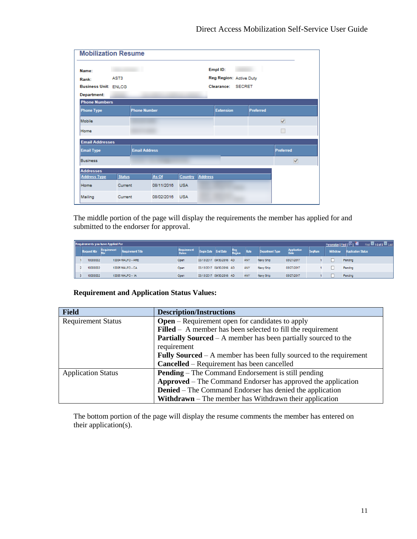|                             | <b>Mobilization Resume</b> |                      |            |                |                |                         |  |                  |           |  |  |
|-----------------------------|----------------------------|----------------------|------------|----------------|----------------|-------------------------|--|------------------|-----------|--|--|
| Name:                       |                            |                      |            |                |                | Empl ID:                |  |                  |           |  |  |
| Rank:                       | AST3                       |                      |            |                |                | Reg Region: Active Duty |  |                  |           |  |  |
| <b>Business Unit: ENLCG</b> |                            |                      |            |                |                | Clearance: SECRET       |  |                  |           |  |  |
| Department:                 |                            |                      |            |                |                |                         |  |                  |           |  |  |
| <b>Phone Numbers</b>        |                            |                      |            |                |                |                         |  |                  |           |  |  |
| <b>Phone Type</b>           |                            | <b>Phone Number</b>  |            |                |                | <b>Extension</b>        |  | <b>Preferred</b> |           |  |  |
| Mobile                      |                            |                      |            |                |                |                         |  |                  | $\prec$   |  |  |
| Home                        |                            |                      |            |                |                |                         |  |                  |           |  |  |
| <b>Email Addresses</b>      |                            |                      |            |                |                |                         |  |                  |           |  |  |
| <b>Email Type</b>           |                            | <b>Email Address</b> |            |                |                |                         |  |                  | Preferred |  |  |
| <b>Business</b>             |                            |                      |            |                |                |                         |  |                  | ✔         |  |  |
| <b>Addresses</b>            |                            |                      |            |                |                |                         |  |                  |           |  |  |
| <b>Address Type</b>         | <b>Status</b>              |                      | As Of      | <b>Country</b> | <b>Address</b> |                         |  |                  |           |  |  |
| Home                        | Current                    |                      | 08/11/2016 | <b>USA</b>     |                |                         |  |                  |           |  |  |
| Mailing                     | Current                    |                      | 08/02/2016 | <b>USA</b>     |                |                         |  |                  |           |  |  |

The middle portion of the page will display the requirements the member has applied for and submitted to the endorser for approval.

|  |                  | <b>Requirements you have Applied For</b> |                          |                       |                          |                 |               |      |                        |                     |               | Personalize   Find   PI | 143 of 3 <b>M</b> Last<br>First <b>R</b> |
|--|------------------|------------------------------------------|--------------------------|-----------------------|--------------------------|-----------------|---------------|------|------------------------|---------------------|---------------|-------------------------|------------------------------------------|
|  | <b>uest Nbr.</b> | Requirement                              | <b>Requirement Title</b> | Requirement<br>Status | <b>Begin Date</b>        | <b>End Date</b> | Reg<br>Region | Rate | <b>Department Type</b> | Application<br>Date | <b>SeqNum</b> | Withdraw                | <b>Application Status</b>                |
|  | 10000002         |                                          | 10004 MALFO - ARE        | Open:                 | 03/13/2017 09/30/2018 AD |                 |               | ANY  | Navy Ship              | 03/27/2017          |               |                         | Pending                                  |
|  | 10000002         |                                          | 10005 MALFO - CA         | Open                  | 03/13/2017 09/30/2018 AD |                 |               | ANY  | Navy Ship              | 03/27/2017          |               |                         | Pending                                  |
|  | 10000002         |                                          | 10006 MALFO - IA         | Open                  | 03/13/2017 09/30/2018 AD |                 |               | ANY  | Navy Ship              | 03/27/2017          |               |                         | Pending                                  |

#### **Requirement and Application Status Values:**

| <b>Field</b>              | <b>Description/Instructions</b>                                           |  |  |  |  |  |  |
|---------------------------|---------------------------------------------------------------------------|--|--|--|--|--|--|
| <b>Requirement Status</b> | <b>Open</b> – Requirement open for candidates to apply                    |  |  |  |  |  |  |
|                           | $Filled - A member has been selected to fill the requirement$             |  |  |  |  |  |  |
|                           | <b>Partially Sourced</b> $- A$ member has been partially sourced to the   |  |  |  |  |  |  |
|                           | requirement                                                               |  |  |  |  |  |  |
|                           | <b>Fully Sourced</b> – A member has been fully sourced to the requirement |  |  |  |  |  |  |
|                           | <b>Cancelled</b> – Requirement has been cancelled                         |  |  |  |  |  |  |
| <b>Application Status</b> | <b>Pending</b> – The Command Endorsement is still pending                 |  |  |  |  |  |  |
|                           | <b>Approved</b> – The Command Endorser has approved the application       |  |  |  |  |  |  |
|                           | <b>Denied</b> – The Command Endorser has denied the application           |  |  |  |  |  |  |
|                           | <b>Withdrawn</b> – The member has Withdrawn their application             |  |  |  |  |  |  |

The bottom portion of the page will display the resume comments the member has entered on their application(s).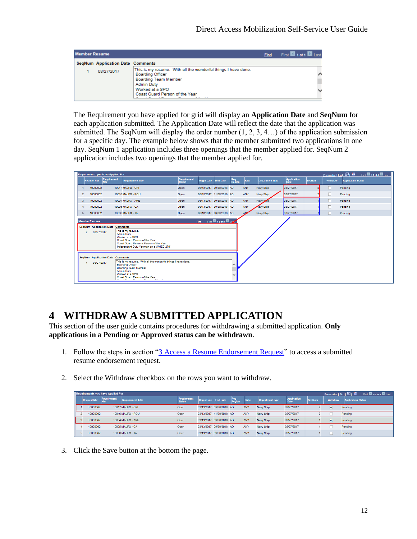| <b>Member Resume</b> |                                         | <b>Find</b>                                                                                                             | First 1 of 1 2 Last |  |
|----------------------|-----------------------------------------|-------------------------------------------------------------------------------------------------------------------------|---------------------|--|
|                      | <b>SegNum Application Date Comments</b> |                                                                                                                         |                     |  |
|                      | 03/27/2017                              | This is my resume. With all the wonderful things I have done.<br><b>Boarding Officer</b><br><b>Boarding Team Member</b> |                     |  |
|                      |                                         | <b>Admin Duty</b><br>Worked at a SPO<br>Coast Guard Person of the Year                                                  |                     |  |

The Requirement you have applied for grid will display an **Application Date** and **SeqNum** for each application submitted. The Application Date will reflect the date that the application was submitted. The SeqNum will display the order number  $(1, 2, 3, 4...)$  of the application submission for a specific day. The example below shows that the member submitted two applications in one day. SeqNum 1 application includes three openings that the member applied for. SeqNum 2 application includes two openings that the member applied for.

| Personalize   Find   (A)   ill First   1-5 of 5   Last<br><b>Requirements you have Applied For</b>                                                                                                                                                                                                                                                                                                                                                                                                                                                                           |                    |             |                          |                       |                          |                 |               |            |                        |                            |               |          |                           |
|------------------------------------------------------------------------------------------------------------------------------------------------------------------------------------------------------------------------------------------------------------------------------------------------------------------------------------------------------------------------------------------------------------------------------------------------------------------------------------------------------------------------------------------------------------------------------|--------------------|-------------|--------------------------|-----------------------|--------------------------|-----------------|---------------|------------|------------------------|----------------------------|---------------|----------|---------------------------|
|                                                                                                                                                                                                                                                                                                                                                                                                                                                                                                                                                                              | <b>Request Nbr</b> | Requirement | <b>Requirement Title</b> | Requirement<br>Status | <b>Begin Date</b>        | <b>End Date</b> | Reg<br>Region | Rate       | <b>Department Type</b> | <b>Application</b><br>Date | <b>SeqNum</b> | Withdraw | <b>Application Status</b> |
|                                                                                                                                                                                                                                                                                                                                                                                                                                                                                                                                                                              | 10000002           |             | 10017 MALFO - CRI        | Open                  | 03/13/2017 09/30/2018 AD |                 |               | <b>ANY</b> | Navy Ship              | 03/27/2017                 |               | L        | Pending                   |
| $\overline{2}$                                                                                                                                                                                                                                                                                                                                                                                                                                                                                                                                                               | 10000002           |             | 10016 MALFO - ROU        | Open                  | 03/13/2017 11/30/2018 AD |                 |               | <b>ANY</b> | Navy Ship              | 03/27/2017                 |               | $\Box$   | Pending                   |
| з                                                                                                                                                                                                                                                                                                                                                                                                                                                                                                                                                                            | 10000002           |             | 10004 MALFO - ARE        | Open                  | 03/13/2017 09/30/2018 AD |                 |               | <b>ANY</b> | Navy Simp              | 03/27/2017                 |               | с        | Pending                   |
| $\overline{4}$                                                                                                                                                                                                                                                                                                                                                                                                                                                                                                                                                               | 10000002           |             | 10005 MALFO - CA         | Open                  | 03/13/2017 09/30/2018 AD |                 |               | <b>ANY</b> | Navy Ship              | 03/27/2017                 |               | с        | Pending                   |
| 5                                                                                                                                                                                                                                                                                                                                                                                                                                                                                                                                                                            | 10000002           |             | 10006 MALFO - IA         | Open                  | 03/13/2017 09/30/2018 AD |                 |               | <b>AMY</b> | Navy Ship              | 03/27/2017                 |               | $\Box$   | Pending                   |
| Find First 1-2 of 2 Law<br><b>Member Resume</b><br><b>SeqNum Application Date Comments</b><br>This is my resume.<br>03/27/2017<br>$\overline{2}$<br><b>Admin Duty</b><br>Worked at a SPO<br>Coast Guard Person of the Year<br>Coast Guard Reserve Person of the Year<br>Independent Duty Yeoman on a WMEC 270"<br><b>SeqNum Application Date Comments</b><br>This is my resume. With all the wonderful things I have done.<br>03/27/2017<br><b>Boarding Officer</b><br><b>Boarding Team Member</b><br><b>Admin Duty</b><br>Worked at a SPO<br>Coast Guard Person of the Year |                    |             |                          |                       |                          |                 |               |            |                        |                            |               |          |                           |

### <span id="page-11-0"></span>**4 WITHDRAW A SUBMITTED APPLICATION**

This section of the user guide contains procedures for withdrawing a submitted application. **Only applications in a Pending or Approved status can be withdrawn**.

- 1. Follow the steps in section ["3 Access a Resume Endorsement Request"](#page-8-0) to access a submitted resume endorsement request.
- 2. Select the Withdraw checkbox on the rows you want to withdraw.

| Requirements you have Applied For |                    |                    |                          |                                     |                   |                          |                 |            |                        |                    |        | First $\blacksquare$ 1-5 of 5 $\blacksquare$ Last |                           |
|-----------------------------------|--------------------|--------------------|--------------------------|-------------------------------------|-------------------|--------------------------|-----------------|------------|------------------------|--------------------|--------|---------------------------------------------------|---------------------------|
|                                   | <b>Request Nbr</b> | <b>Requirement</b> | <b>Requirement Title</b> | <b>Requirement</b><br><b>Status</b> | <b>Begin Date</b> | <b>End Date</b>          | $Req$<br>Region | Rate       | <b>Department Type</b> | <b>Application</b> | SegNum | Withdraw                                          | <b>Application Status</b> |
|                                   | 10000002           |                    | 10017 MALFO - CRI        | Open                                |                   | 03/13/2017 09/30/2018 AD |                 | ANY        | Navy Ship              | 03/27/2017         |        | ▿                                                 | Pendina                   |
|                                   | 10000002           |                    | 10016 MALFO - ROU        | Open                                |                   | 03/13/2017 11/30/2018 AD |                 | <b>ANY</b> | Navy Ship              | 03/27/2017         |        |                                                   | Pendina                   |
|                                   | 10000002           |                    | 10004 MALFO - ARE        | Open                                |                   | 03/13/2017 09/30/2018 AD |                 | ANY        | Navy Ship              | 03/27/2017         |        | $\overline{\mathbf{v}}$                           | Pending                   |
|                                   | 10000002           |                    | 10005 MALFO - CA         | Open                                |                   | 03/13/2017 09/30/2018 AD |                 | ANY        | Navy Ship              | 03/27/2017         |        |                                                   | Pendina                   |
|                                   | 10000002           |                    | 10006 MALFO - IA         | Open                                |                   | 03/13/2017 09/30/2018 AD |                 | ANY        | Navy Ship              | 03/27/2017         |        |                                                   | Pending                   |

3. Click the Save button at the bottom the page.